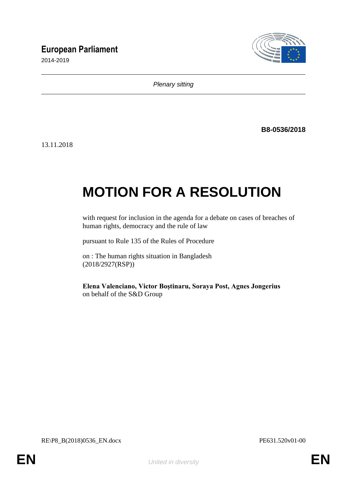# **European Parliament**

2014-2019



*Plenary sitting*

**B8-0536/2018**

13.11.2018

# **MOTION FOR A RESOLUTION**

with request for inclusion in the agenda for a debate on cases of breaches of human rights, democracy and the rule of law

pursuant to Rule 135 of the Rules of Procedure

on : The human rights situation in Bangladesh (2018/2927(RSP))

**Elena Valenciano, Victor Boştinaru, Soraya Post, Agnes Jongerius** on behalf of the S&D Group

RE\P8\_B(2018)0536\_EN.docx PE631.520v01-00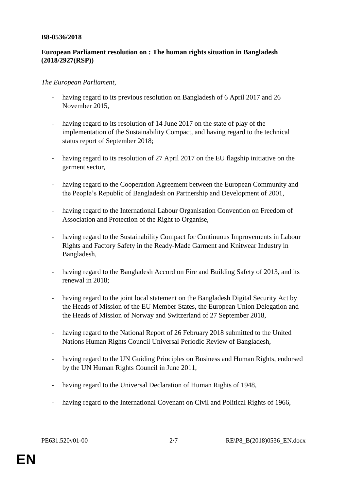#### **B8-0536/2018**

## **European Parliament resolution on : The human rights situation in Bangladesh (2018/2927(RSP))**

### *The European Parliament*,

- having regard to its previous resolution on Bangladesh of 6 April 2017 and 26 November 2015,
- having regard to its resolution of 14 June 2017 on the state of play of the implementation of the Sustainability Compact, and having regard to the technical status report of September 2018;
- having regard to its resolution of 27 April 2017 on the EU flagship initiative on the garment sector,
- having regard to the Cooperation Agreement between the European Community and the People's Republic of Bangladesh on Partnership and Development of 2001,
- having regard to the International Labour Organisation Convention on Freedom of Association and Protection of the Right to Organise,
- having regard to the Sustainability Compact for Continuous Improvements in Labour Rights and Factory Safety in the Ready-Made Garment and Knitwear Industry in Bangladesh,
- having regard to the Bangladesh Accord on Fire and Building Safety of 2013, and its renewal in 2018;
- having regard to the joint local statement on the Bangladesh Digital Security Act by the Heads of Mission of the EU Member States, the European Union Delegation and the Heads of Mission of Norway and Switzerland of 27 September 2018,
- having regard to the National Report of 26 February 2018 submitted to the United Nations Human Rights Council Universal Periodic Review of Bangladesh,
- having regard to the UN Guiding Principles on Business and Human Rights, endorsed by the UN Human Rights Council in June 2011,
- having regard to the Universal Declaration of Human Rights of 1948,
- having regard to the International Covenant on Civil and Political Rights of 1966,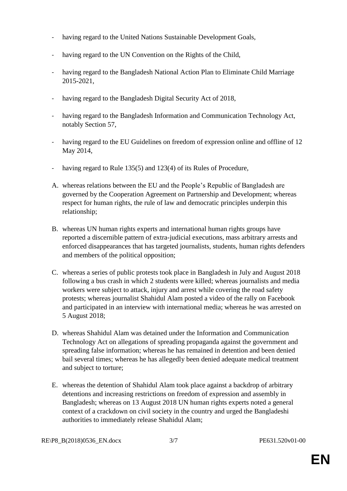- having regard to the United Nations Sustainable Development Goals,
- having regard to the UN Convention on the Rights of the Child,
- having regard to the Bangladesh National Action Plan to Eliminate Child Marriage 2015-2021,
- having regard to the Bangladesh Digital Security Act of 2018,
- having regard to the Bangladesh Information and Communication Technology Act, notably Section 57,
- having regard to the EU Guidelines on freedom of expression online and offline of 12 May 2014,
- having regard to Rule 135(5) and 123(4) of its Rules of Procedure,
- A. whereas relations between the EU and the People's Republic of Bangladesh are governed by the Cooperation Agreement on Partnership and Development; whereas respect for human rights, the rule of law and democratic principles underpin this relationship;
- B. whereas UN human rights experts and international human rights groups have reported a discernible pattern of extra-judicial executions, mass arbitrary arrests and enforced disappearances that has targeted journalists, students, human rights defenders and members of the political opposition;
- C. whereas a series of public protests took place in Bangladesh in July and August 2018 following a bus crash in which 2 students were killed; whereas journalists and media workers were subject to attack, injury and arrest while covering the road safety protests; whereas journalist Shahidul Alam posted a video of the rally on Facebook and participated in an interview with international media; whereas he was arrested on 5 August 2018;
- D. whereas Shahidul Alam was detained under the Information and Communication Technology Act on allegations of spreading propaganda against the government and spreading false information; whereas he has remained in detention and been denied bail several times; whereas he has allegedly been denied adequate medical treatment and subject to torture;
- E. whereas the detention of Shahidul Alam took place against a backdrop of arbitrary detentions and increasing restrictions on freedom of expression and assembly in Bangladesh; whereas on 13 August 2018 UN human rights experts noted a general context of a crackdown on civil society in the country and urged the Bangladeshi authorities to immediately release Shahidul Alam;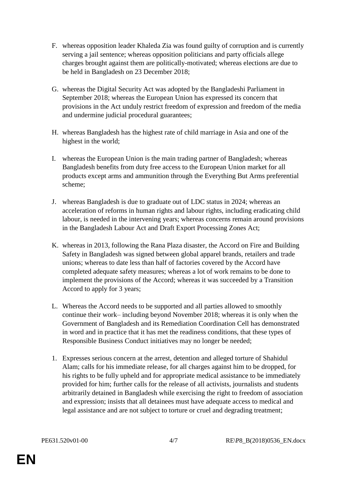- F. whereas opposition leader Khaleda Zia was found guilty of corruption and is currently serving a jail sentence; whereas opposition politicians and party officials allege charges brought against them are politically-motivated; whereas elections are due to be held in Bangladesh on 23 December 2018;
- G. whereas the Digital Security Act was adopted by the Bangladeshi Parliament in September 2018; whereas the European Union has expressed its concern that provisions in the Act unduly restrict freedom of expression and freedom of the media and undermine judicial procedural guarantees;
- H. whereas Bangladesh has the highest rate of child marriage in Asia and one of the highest in the world;
- I. whereas the European Union is the main trading partner of Bangladesh; whereas Bangladesh benefits from duty free access to the European Union market for all products except arms and ammunition through the Everything But Arms preferential scheme;
- J. whereas Bangladesh is due to graduate out of LDC status in 2024; whereas an acceleration of reforms in human rights and labour rights, including eradicating child labour, is needed in the intervening years; whereas concerns remain around provisions in the Bangladesh Labour Act and Draft Export Processing Zones Act;
- K. whereas in 2013, following the Rana Plaza disaster, the Accord on Fire and Building Safety in Bangladesh was signed between global apparel brands, retailers and trade unions; whereas to date less than half of factories covered by the Accord have completed adequate safety measures; whereas a lot of work remains to be done to implement the provisions of the Accord; whereas it was succeeded by a Transition Accord to apply for 3 years;
- L. Whereas the Accord needs to be supported and all parties allowed to smoothly continue their work– including beyond November 2018; whereas it is only when the Government of Bangladesh and its Remediation Coordination Cell has demonstrated in word and in practice that it has met the readiness conditions, that these types of Responsible Business Conduct initiatives may no longer be needed;
- 1. Expresses serious concern at the arrest, detention and alleged torture of Shahidul Alam; calls for his immediate release, for all charges against him to be dropped, for his rights to be fully upheld and for appropriate medical assistance to be immediately provided for him; further calls for the release of all activists, journalists and students arbitrarily detained in Bangladesh while exercising the right to freedom of association and expression; insists that all detainees must have adequate access to medical and legal assistance and are not subject to torture or cruel and degrading treatment;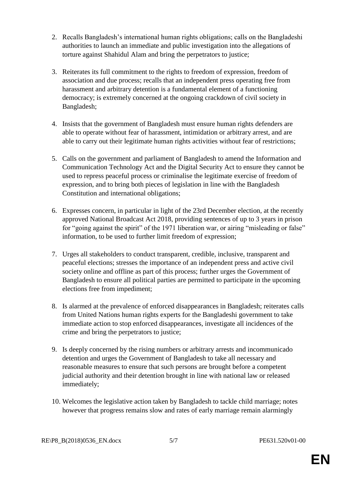- 2. Recalls Bangladesh's international human rights obligations; calls on the Bangladeshi authorities to launch an immediate and public investigation into the allegations of torture against Shahidul Alam and bring the perpetrators to justice;
- 3. Reiterates its full commitment to the rights to freedom of expression, freedom of association and due process; recalls that an independent press operating free from harassment and arbitrary detention is a fundamental element of a functioning democracy; is extremely concerned at the ongoing crackdown of civil society in Bangladesh;
- 4. Insists that the government of Bangladesh must ensure human rights defenders are able to operate without fear of harassment, intimidation or arbitrary arrest, and are able to carry out their legitimate human rights activities without fear of restrictions;
- 5. Calls on the government and parliament of Bangladesh to amend the Information and Communication Technology Act and the Digital Security Act to ensure they cannot be used to repress peaceful process or criminalise the legitimate exercise of freedom of expression, and to bring both pieces of legislation in line with the Bangladesh Constitution and international obligations;
- 6. Expresses concern, in particular in light of the 23rd December election, at the recently approved National Broadcast Act 2018, providing sentences of up to 3 years in prison for "going against the spirit" of the 1971 liberation war, or airing "misleading or false" information, to be used to further limit freedom of expression;
- 7. Urges all stakeholders to conduct transparent, credible, inclusive, transparent and peaceful elections; stresses the importance of an independent press and active civil society online and offline as part of this process; further urges the Government of Bangladesh to ensure all political parties are permitted to participate in the upcoming elections free from impediment;
- 8. Is alarmed at the prevalence of enforced disappearances in Bangladesh; reiterates calls from United Nations human rights experts for the Bangladeshi government to take immediate action to stop enforced disappearances, investigate all incidences of the crime and bring the perpetrators to justice;
- 9. Is deeply concerned by the rising numbers or arbitrary arrests and incommunicado detention and urges the Government of Bangladesh to take all necessary and reasonable measures to ensure that such persons are brought before a competent judicial authority and their detention brought in line with national law or released immediately;
- 10. Welcomes the legislative action taken by Bangladesh to tackle child marriage; notes however that progress remains slow and rates of early marriage remain alarmingly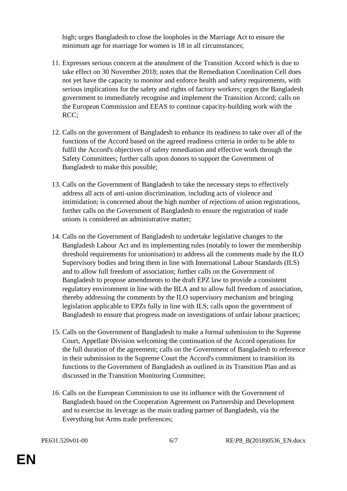high; urges Bangladesh to close the loopholes in the Marriage Act to ensure the minimum age for marriage for women is 18 in all circumstances;

- 11. Expresses serious concern at the annulment of the Transition Accord which is due to take effect on 30 November 2018; notes that the Remediation Coordination Cell does not yet have the capacity to monitor and enforce health and safety requirements, with serious implications for the safety and rights of factory workers; urges the Bangladesh government to immediately recognise and implement the Transition Accord; calls on the European Commission and EEAS to continue capacity-building work with the RCC;
- 12. Calls on the government of Bangladesh to enhance its readiness to take over all of the functions of the Accord based on the agreed readiness criteria in order to be able to fulfil the Accord's objectives of safety remediation and effective work through the Safety Committees; further calls upon donors to support the Government of Bangladesh to make this possible;
- 13. Calls on the Government of Bangladesh to take the necessary steps to effectively address all acts of anti-union discrimination, including acts of violence and intimidation; is concerned about the high number of rejections of union registrations, further calls on the Government of Bangladesh to ensure the registration of trade unions is considered an administrative matter;
- 14. Calls on the Government of Bangladesh to undertake legislative changes to the Bangladesh Labour Act and its implementing rules (notably to lower the membership threshold requirements for unionisation) to address all the comments made by the ILO Supervisory bodies and bring them in line with International Labour Standards (ILS) and to allow full freedom of association; further calls on the Government of Bangladesh to propose amendments to the draft EPZ law to provide a consistent regulatory environment in line with the BLA and to allow full freedom of association, thereby addressing the comments by the ILO supervisory mechanism and bringing legislation applicable to EPZs fully in line with ILS; calls upon the government of Bangladesh to ensure that progress made on investigations of unfair labour practices;
- 15. Calls on the Government of Bangladesh to make a formal submission to the Supreme Court, Appellate Division welcoming the continuation of the Accord operations for the full duration of the agreement; calls on the Government of Bangladesh to reference in their submission to the Supreme Court the Accord's commitment to transition its functions to the Government of Bangladesh as outlined in its Transition Plan and as discussed in the Transition Monitoring Committee;
- 16. Calls on the European Commission to use its influence with the Government of Bangladesh based on the Cooperation Agreement on Partnership and Development and to exercise its leverage as the main trading partner of Bangladesh, via the Everything but Arms trade preferences;